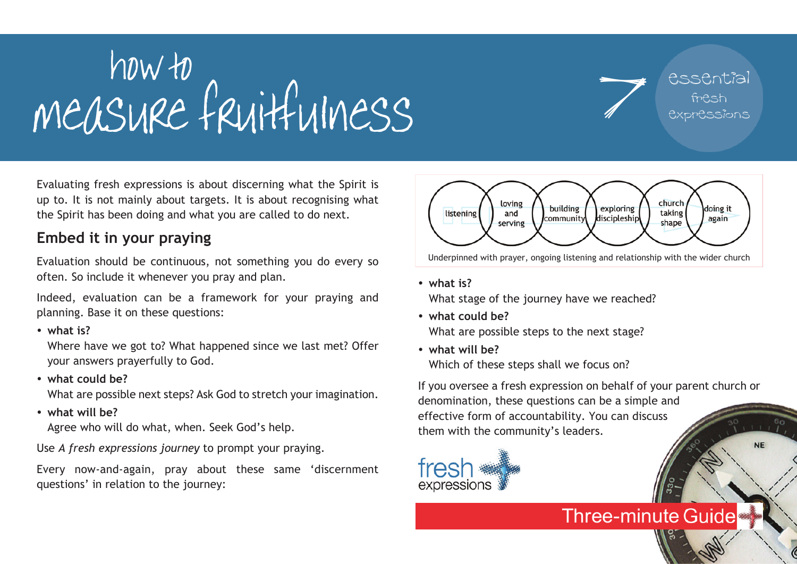## measure fruitfulness 7 how to

essential fresh expressions

**NE** 

Evaluating fresh expressions is about discerning what the Spirit is up to. It is not mainly about targets. It is about recognising what the Spirit has been doing and what you are called to do next.

## **Embed it in your praying**

Evaluation should be continuous, not something you do every so often. So include it whenever you pray and plan.

Indeed, evaluation can be a framework for your praying and planning. Base it on these questions:

ü **what is?**

Where have we got to? What happened since we last met? Offer your answers prayerfully to God.

ü **what could be?**

What are possible next steps? Ask God to stretch your imagination.

• what will be?

Agree who will do what, when. Seek God's help.

Use *A fresh expressions journey* to prompt your praying.

Every now-and-again, pray about these same 'discernment questions' in relation to the journey:



Underpinned with prayer, ongoing listening and relationship with the wider church

ü **what is?**

What stage of the journey have we reached?

- ü **what could be?** What are possible steps to the next stage?
- ü **what will be?** Which of these steps shall we focus on?

If you oversee a fresh expression on behalf of your parent church or denomination, these questions can be a simple and effective form of accountability. You can discuss them with the community's leaders.

**Three-minute Guide**